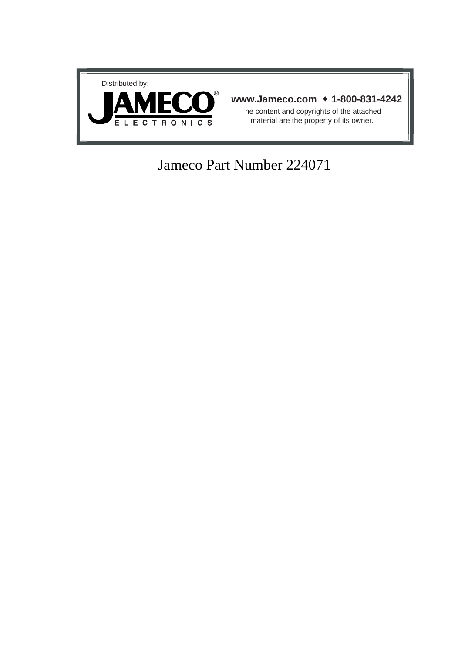

## Jameco Part Number 224071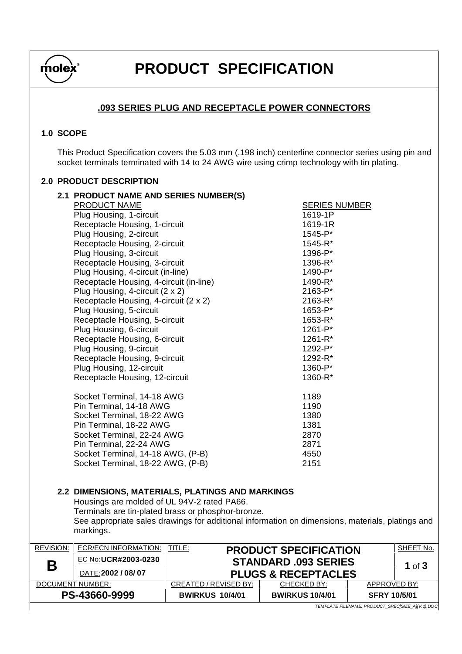

## **PRODUCT SPECIFICATION**

## **.093 SERIES PLUG AND RECEPTACLE POWER CONNECTORS**

## **1.0 SCOPE**

This Product Specification covers the 5.03 mm (.198 inch) centerline connector series using pin and socket terminals terminated with 14 to 24 AWG wire using crimp technology with tin plating.

## **2.0 PRODUCT DESCRIPTION**

|                  | 2.1 PRODUCT NAME AND SERIES NUMBER(S)                                                            |                              |                                |                                                  |  |  |  |
|------------------|--------------------------------------------------------------------------------------------------|------------------------------|--------------------------------|--------------------------------------------------|--|--|--|
|                  | PRODUCT NAME                                                                                     |                              | <b>SERIES NUMBER</b>           |                                                  |  |  |  |
|                  | Plug Housing, 1-circuit                                                                          |                              | 1619-1P                        |                                                  |  |  |  |
|                  | Receptacle Housing, 1-circuit                                                                    |                              | 1619-1R                        |                                                  |  |  |  |
|                  | Plug Housing, 2-circuit                                                                          |                              | 1545-P*                        |                                                  |  |  |  |
|                  | Receptacle Housing, 2-circuit                                                                    |                              | 1545-R*                        |                                                  |  |  |  |
|                  | Plug Housing, 3-circuit                                                                          |                              | 1396-P*                        |                                                  |  |  |  |
|                  | Receptacle Housing, 3-circuit                                                                    |                              | 1396-R*                        |                                                  |  |  |  |
|                  | Plug Housing, 4-circuit (in-line)                                                                |                              | 1490-P*<br>1490-R*             |                                                  |  |  |  |
|                  | Receptacle Housing, 4-circuit (in-line)                                                          |                              |                                |                                                  |  |  |  |
|                  | Plug Housing, 4-circuit (2 x 2)                                                                  |                              | 2163-P*                        |                                                  |  |  |  |
|                  | Receptacle Housing, 4-circuit (2 x 2)                                                            |                              | 2163-R*                        |                                                  |  |  |  |
|                  | Plug Housing, 5-circuit                                                                          |                              | 1653-P*                        |                                                  |  |  |  |
|                  | Receptacle Housing, 5-circuit                                                                    |                              | 1653-R*                        |                                                  |  |  |  |
|                  | Plug Housing, 6-circuit                                                                          |                              | 1261-P*                        |                                                  |  |  |  |
|                  | Receptacle Housing, 6-circuit                                                                    |                              | $1261 - R^*$                   |                                                  |  |  |  |
|                  | Plug Housing, 9-circuit                                                                          |                              | 1292-P*                        |                                                  |  |  |  |
|                  | Receptacle Housing, 9-circuit                                                                    |                              | 1292-R*                        |                                                  |  |  |  |
|                  | Plug Housing, 12-circuit                                                                         |                              | 1360-P*                        |                                                  |  |  |  |
|                  | Receptacle Housing, 12-circuit                                                                   |                              | 1360-R*                        |                                                  |  |  |  |
|                  | Socket Terminal, 14-18 AWG                                                                       |                              | 1189                           |                                                  |  |  |  |
|                  | Pin Terminal, 14-18 AWG                                                                          |                              | 1190                           |                                                  |  |  |  |
|                  | Socket Terminal, 18-22 AWG                                                                       |                              | 1380                           |                                                  |  |  |  |
|                  | Pin Terminal, 18-22 AWG                                                                          |                              | 1381                           |                                                  |  |  |  |
|                  | Socket Terminal, 22-24 AWG                                                                       |                              | 2870                           |                                                  |  |  |  |
|                  | Pin Terminal, 22-24 AWG                                                                          |                              | 2871                           |                                                  |  |  |  |
|                  | Socket Terminal, 14-18 AWG, (P-B)                                                                |                              | 4550                           |                                                  |  |  |  |
|                  | Socket Terminal, 18-22 AWG, (P-B)                                                                |                              | 2151                           |                                                  |  |  |  |
|                  |                                                                                                  |                              |                                |                                                  |  |  |  |
|                  | 2.2 DIMENSIONS, MATERIALS, PLATINGS AND MARKINGS                                                 |                              |                                |                                                  |  |  |  |
|                  | Housings are molded of UL 94V-2 rated PA66.                                                      |                              |                                |                                                  |  |  |  |
|                  | Terminals are tin-plated brass or phosphor-bronze.                                               |                              |                                |                                                  |  |  |  |
|                  | See appropriate sales drawings for additional information on dimensions, materials, platings and |                              |                                |                                                  |  |  |  |
|                  | markings.                                                                                        |                              |                                |                                                  |  |  |  |
| <b>REVISION:</b> | <b>ECR/ECN INFORMATION:</b>                                                                      | <b>TITLE:</b>                | <b>PRODUCT SPECIFICATION</b>   | SHEET No.                                        |  |  |  |
| Β                | EC No: UCR#2003-0230                                                                             |                              | <b>STANDARD .093 SERIES</b>    | 1 of $3$                                         |  |  |  |
|                  | DATE: 2002 / 08/07                                                                               |                              | <b>PLUGS &amp; RECEPTACLES</b> |                                                  |  |  |  |
|                  | DOCUMENT NUMBER:                                                                                 | <b>CREATED / REVISED BY:</b> | CHECKED BY:                    | <b>APPROVED BY:</b>                              |  |  |  |
|                  | PS-43660-9999                                                                                    | <b>BWIRKUS 10/4/01</b>       | <b>BWIRKUS 10/4/01</b>         | <b>SFRY 10/5/01</b>                              |  |  |  |
|                  |                                                                                                  |                              |                                | TEMPLATE FILENAME: PRODUCT_SPEC[SIZE_A](V.1).DOC |  |  |  |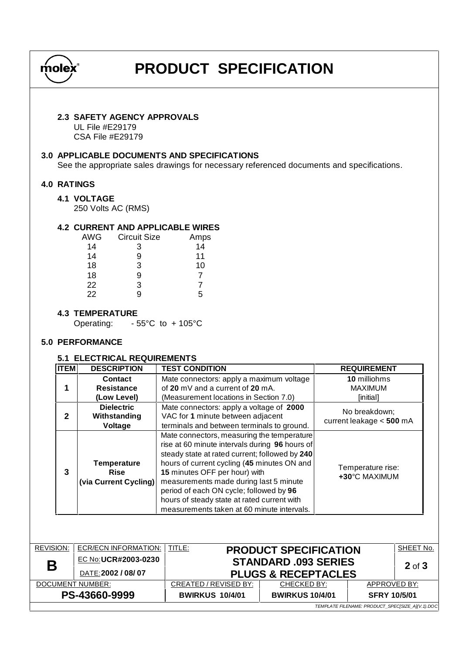

## **PRODUCT SPECIFICATION**

## **2.3 SAFETY AGENCY APPROVALS**

UL File #E29179 CSA File #E29179

### **3.0 APPLICABLE DOCUMENTS AND SPECIFICATIONS**

See the appropriate sales drawings for necessary referenced documents and specifications.

## **4.0 RATINGS**

#### **4.1 VOLTAGE**

250 Volts AC (RMS)

## **4.2 CURRENT AND APPLICABLE WIRES**

| <b>AWG</b> | <b>Circuit Size</b> | Amps |
|------------|---------------------|------|
| 14         | 3                   | 14   |
| 14         | 9                   | 11   |
| 18         | 3                   | 10   |
| 18         | 9                   | 7    |
| 22         | 3                   |      |
| 22         | q                   | 5    |

## **4.3 TEMPERATURE**

Operating: - 55°C to + 105°C

## **5.0 PERFORMANCE**

## **5.1 ELECTRICAL REQUIREMENTS**

| <b>ITEM</b>  | <b>DESCRIPTION</b>                                         | <b>TEST CONDITION</b>                                                                                                                                                                                                                                                                                                                                                                                            | <b>REQUIREMENT</b>                          |
|--------------|------------------------------------------------------------|------------------------------------------------------------------------------------------------------------------------------------------------------------------------------------------------------------------------------------------------------------------------------------------------------------------------------------------------------------------------------------------------------------------|---------------------------------------------|
|              | Contact                                                    | Mate connectors: apply a maximum voltage                                                                                                                                                                                                                                                                                                                                                                         | 10 milliohms                                |
|              | <b>Resistance</b>                                          | of 20 mV and a current of 20 mA.                                                                                                                                                                                                                                                                                                                                                                                 | <b>MAXIMUM</b>                              |
|              | (Low Level)                                                | (Measurement locations in Section 7.0)                                                                                                                                                                                                                                                                                                                                                                           | [initial]                                   |
| $\mathbf{2}$ | <b>Dielectric</b><br>Withstanding<br>Voltage               | Mate connectors: apply a voltage of 2000<br>VAC for 1 minute between adjacent<br>terminals and between terminals to ground.                                                                                                                                                                                                                                                                                      | No breakdown;<br>current leakage $< 500$ mA |
| 3            | <b>Temperature</b><br><b>Rise</b><br>(via Current Cycling) | Mate connectors, measuring the temperature<br>rise at 60 minute intervals during 96 hours of<br>steady state at rated current; followed by 240<br>hours of current cycling (45 minutes ON and<br>15 minutes OFF per hour) with<br>measurements made during last 5 minute<br>period of each ON cycle; followed by 96<br>hours of steady state at rated current with<br>measurements taken at 60 minute intervals. | Temperature rise:<br>+30°C MAXIMUM          |

| <b>REVISION:</b>                                 | ECR/ECN INFORMATION: | TITLE:<br>SHEET No.<br><b>PRODUCT SPECIFICATION</b> |                             |                     |  |  |  |  |  |
|--------------------------------------------------|----------------------|-----------------------------------------------------|-----------------------------|---------------------|--|--|--|--|--|
| Β                                                | EC No:UCR#2003-0230  |                                                     | <b>STANDARD .093 SERIES</b> |                     |  |  |  |  |  |
|                                                  | DATE: 2002 / 08/07   | <b>PLUGS &amp; RECEPTACLES</b>                      | $2$ of $3$                  |                     |  |  |  |  |  |
| DOCUMENT NUMBER:                                 |                      | CREATED / REVISED BY:                               | CHECKED BY:                 | APPROVED BY:        |  |  |  |  |  |
| PS-43660-9999                                    |                      | <b>BWIRKUS 10/4/01</b>                              | <b>BWIRKUS 10/4/01</b>      | <b>SFRY 10/5/01</b> |  |  |  |  |  |
| TEMPLATE FILENAME: PRODUCT_SPEC[SIZE_A](V.1).DOC |                      |                                                     |                             |                     |  |  |  |  |  |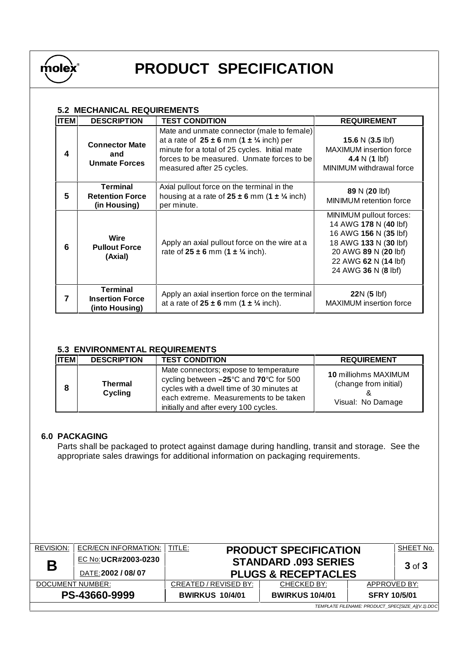

# **PRODUCT SPECIFICATION**

## **5.2 MECHANICAL REQUIREMENTS**

| <b>ITEM</b> | <b>DESCRIPTION</b>                                          | <b>TEST CONDITION</b>                                                                                                                                                                                                               | <b>REQUIREMENT</b>                                                                                                                                                        |
|-------------|-------------------------------------------------------------|-------------------------------------------------------------------------------------------------------------------------------------------------------------------------------------------------------------------------------------|---------------------------------------------------------------------------------------------------------------------------------------------------------------------------|
|             | <b>Connector Mate</b><br>and<br><b>Unmate Forces</b>        | Mate and unmate connector (male to female)<br>at a rate of $25 \pm 6$ mm $(1 \pm \frac{1}{4}$ inch) per<br>minute for a total of 25 cycles. Initial mate<br>forces to be measured. Unmate forces to be<br>measured after 25 cycles. | 15.6 N $(3.5 \text{ lbf})$<br>MAXIMUM insertion force<br>4.4 N $(1 \text{ lbf})$<br>MINIMUM withdrawal force                                                              |
| 5           | <b>Terminal</b><br><b>Retention Force</b><br>(in Housing)   | Axial pullout force on the terminal in the<br>housing at a rate of $25 \pm 6$ mm (1 $\pm$ 1/4 inch)<br>per minute.                                                                                                                  | 89 N (20 lbf)<br>MINIMUM retention force                                                                                                                                  |
| 6           | <b>Wire</b><br><b>Pullout Force</b><br>(Axial)              | Apply an axial pullout force on the wire at a<br>rate of $25 \pm 6$ mm $(1 \pm \frac{1}{4}$ inch).                                                                                                                                  | MINIMUM pullout forces:<br>14 AWG 178 N (40 lbf)<br>16 AWG 156 N (35 lbf)<br>18 AWG 133 N (30 lbf)<br>20 AWG 89 N (20 lbf)<br>22 AWG 62 N (14 lbf)<br>24 AWG 36 N (8 lbf) |
|             | <b>Terminal</b><br><b>Insertion Force</b><br>(into Housing) | Apply an axial insertion force on the terminal<br>at a rate of $25 \pm 6$ mm $(1 \pm \frac{1}{4}$ inch).                                                                                                                            | $22N(5)$ lbf)<br>MAXIMUM insertion force                                                                                                                                  |

## **5.3 ENVIRONMENTAL REQUIREMENTS**

| <b>ITEM</b> | <b>DESCRIPTION</b>               | <b>TEST CONDITION</b>                                                                                                                                                                                                                 | <b>REQUIREMENT</b>                                                        |
|-------------|----------------------------------|---------------------------------------------------------------------------------------------------------------------------------------------------------------------------------------------------------------------------------------|---------------------------------------------------------------------------|
| 8           | <b>Thermal</b><br><b>Cycling</b> | Mate connectors; expose to temperature<br>cycling between $-25^{\circ}$ C and 70 $^{\circ}$ C for 500<br>cycles with a dwell time of 30 minutes at<br>each extreme. Measurements to be taken<br>initially and after every 100 cycles. | <b>10 milliohms MAXIMUM</b><br>(change from initial)<br>Visual: No Damage |

#### **6.0 PACKAGING**

Parts shall be packaged to protect against damage during handling, transit and storage. See the appropriate sales drawings for additional information on packaging requirements.

| <b>REVISION:</b>                                 | ECR/ECN INFORMATION: | TITLE:<br><b>PRODUCT SPECIFICATION</b> | SHEET No.                                 |                     |  |  |  |  |  |
|--------------------------------------------------|----------------------|----------------------------------------|-------------------------------------------|---------------------|--|--|--|--|--|
| Β                                                | EC No:UCR#2003-0230  |                                        | <b>STANDARD .093 SERIES</b><br>$3$ of $3$ |                     |  |  |  |  |  |
|                                                  | DATE: 2002 / 08/07   |                                        | <b>PLUGS &amp; RECEPTACLES</b>            |                     |  |  |  |  |  |
| DOCUMENT NUMBER:                                 |                      | CREATED / REVISED BY:                  | CHECKED BY:                               | APPROVED BY:        |  |  |  |  |  |
| PS-43660-9999                                    |                      | <b>BWIRKUS 10/4/01</b>                 | <b>BWIRKUS 10/4/01</b>                    | <b>SFRY 10/5/01</b> |  |  |  |  |  |
| TEMPLATE FILENAME: PRODUCT_SPEC[SIZE_A](V.1).DOC |                      |                                        |                                           |                     |  |  |  |  |  |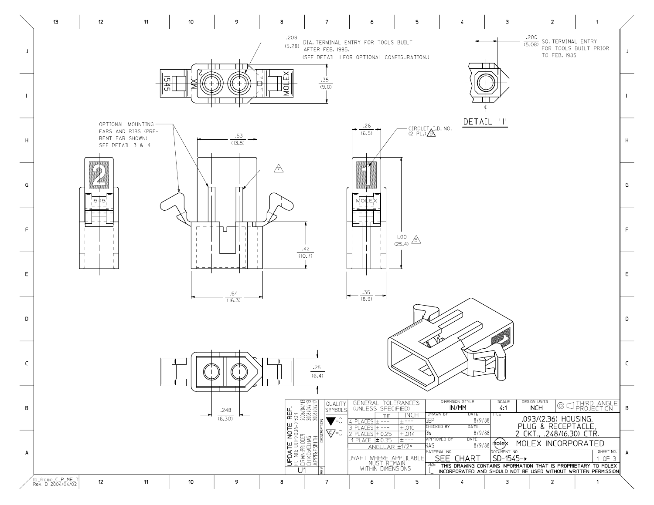